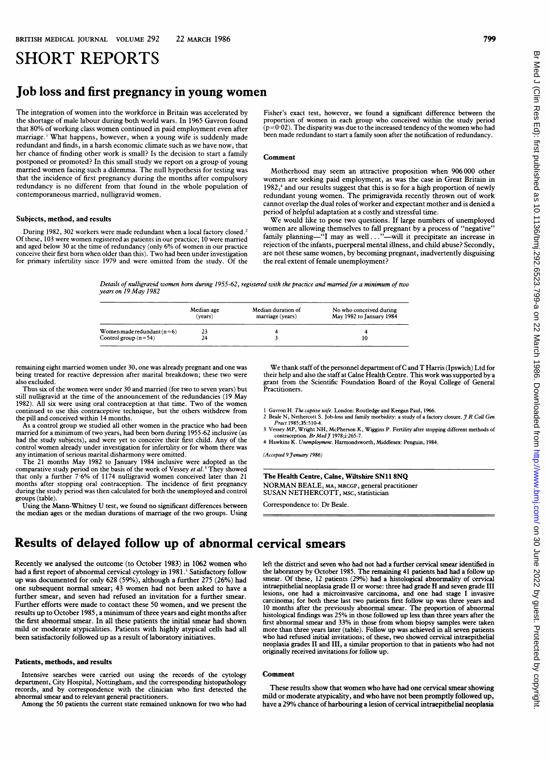# SHORT REPORTS

### Job loss and first pregnancy in young women

The integration of women into the workforce in Britain was accelerated by the shortage of male labour during both world wars. In 1965 Gavron found that 80% of working class women continued in paid employment even after marriage.' What happens, however, when a young wife is suddenly made redundant and finds, in a harsh economic climate such as we have now, that her chance of finding other work is small? Is the decision to start a family postponed or promoted? In this small study we report on a group of young married women facing such a dilemma. The null hypothesis for testing was that the incidence of first pregnancy during the months after compulsory redundancy is no different from that found in the whole population of contemporaneous married, nulligravid women.

### Subjects, method, and results

During 1982, 302 workers were made redundant when a local factory closed.<sup>2</sup> Ofthese, 103 were women registered as patients in our practice; 10 were married and aged below 30 at the time of redundancy (only 6% of women in our practice conceive their first born when older than this). Two had been under investigation for primary infertility since 1979 and were omitted from the study. Of the

Fisher's exact test, however, we found a significant difference between the proportion of women in each group who conceived within the study period  $\dot{\rm (p=0.02)}$ . The disparity was due to the increased tendency of the women who had been made redundant to start a family soon after the notification of redundancy.

#### Comment

Motherhood may seem an attractive proposition when 906000 other women are seeking paid employment, as was the case in Great Britain in 1982,<sup>4</sup> and our results suggest that this is so for a high proportion of newly redundant young women. The primigravida recently thrown out of work cannot overlap the dual roles of worker and expectant mother and is denied a period of helpful adaptation at a costly and stressful time.

We would like to pose two questions. If large numbers of unemployed women are allowing themselves to fall pregnant by a process of "negative" family planning—"I may as well..."—will it precipitate an increase in rejection of the infants, puerperal mental illness, and child abuse? Secondly, are not these same women, by becoming pregnant, inadvertently disguising the real extent of female unemployment?

Details of nulligravid women born during 1955-62, registered with the practice and married for a minimum of two years on 19 May 1982

|                              | Median age<br>(vears) | Median duration of<br>marriage (years) | No who conceived during<br>May 1982 to January 1984 |
|------------------------------|-----------------------|----------------------------------------|-----------------------------------------------------|
| Women made redundant $(n=6)$ |                       |                                        |                                                     |
| Control group $(n=54)$       | 24                    |                                        | 10                                                  |

remaining eight married women under 30, one was already pregnant and one was being treated for reactive depression after marital breakdown; these two were also excluded.

Thus six of the women were under 30 and married (for two to seven years) but still nulligravid at the time of the announcement of the redundancies (19 May 1982). All six were using oral contraception at that time. Two of the women continued to use this contraceptive technique, but the others withdrew from the pill and conceived within 14 months.

As a control group we studied all other women in the practice who had been married for a minimum of two years, had been born during 1955-62 inclusive (as had the study subjects), and were yet to conceive their first child. Any of the control women already under investigation for infertility or for whom there was any intimation of serious marital disharmony were omitted.

The 21 months May 1982 to January 1984 inclusive were adopted as the comparative study period on the basis of the work of Vessey et al.<sup>3</sup> They showed that only a further 7-6% of 1174 nulligravid women conceived later than 21 months after stopping oral contraception. The incidence of first pregnancy during the study period was then calculated for both the unemployed and control groups (table).

Using the Mann-Whitney U test, wefound no significant differences between the median ages or the median durations of marriage of the two groups. Using We thank staff of the personnel department of C and T Harris (Ipswich) Ltd for<br>their help and also the staff at Calne Health Centre. This work was supported by a their help and also the staff at Calne Health Centre. This work was supported by a grant from the Scientific Foundation Board of. the Royal College of General Practitioners.

1 Gavron H. The captive wife. London: Routledge and Keegan Paul, 1966.

- 2 Beale N, Nethercott S. Job-loss and family morbidity: a study of a factory closure.  $\mathcal{J}R$  Coll Gen
- Pract 1985;35:510-4. <sup>3</sup> Vessey MP, Wright NH, McPherson K, Wiggins P. Fertility after stopping different methods of contraception. Br Med  $\tilde{\jmath}$  1978;i:265-7. 4 Hawkins K. Unemployment. Harmondsworth, Middlesex: Penguin, 1984.

(Accepted 9 January 1986)

### The Health Centre, Calne, Wiltshire SN11 8NQ

NORMAN BEALE, MA, MRCGP, general practitioner SUSAN NETHERCOTT, MSC, statistician

Correspondence to: Dr Beale.

## Results of delayed foliow up of abnormal cervical smears

Recently we analysed the outcome (to October 1983) in 1062 women who had <sup>a</sup> first report of abnormal cervical cytology in 1981.' Satisfactory follow up was documented for only 628 (59%), although a further 275 (26%) had one subsequent normal smear; 43 women had not been asked to have a further smear, and seven had refused an invitation for a further smear. Further efforts were made to contact these 50 women, and we present the results up to October 1985, a minimum of three years and eight months after the first abnormal smear. In all these patients the initial smear had shown mild or moderate atypicalities. Patients with highly atypical cells had all been satisfactorily followed up as a result of laboratory initiatives.

### Patients, methods, and results

Intensive searches were carried out using the records of the cytology department, City Hospital, Nottingham, and the corresponding histopathology records, and by correspondence with the clinician who first detected the abnormal smear and to relevant general practitioners.

Among the 50 patients the current state remained unknown for two who had

left the district and seven who had not had a further cervical smear identified in the laboratory by October 1985. The remaining 41 patients had had a follow up smear. Of these, 12 patients (29%) had a histological abnormality of cervical intraepithelial neoplasia grade II or worse: three had grade H and seven grade III lesions, one had a microinvasive carcinoma, and one had stage <sup>I</sup> invasive carcinoma; for both these last two patients first follow up was three years and 10 months after the previously abnormal smear. The proportion of abnormal histological findings was 25% in those followed up less than three years after the first abnormal smear and 33% in those from whom biopsy samples were taken more than three years later (table). Follow up was achieved in all seven patients who had refused initial invitations; of these, two showed cervical intraepithelial neoplasia grades II and III, a similar proportion to that in patients who had not originally received invitations for follow up.

### Comment

These results show that women who have had one cervical smear showing mild or moderate atypicality, and who have not been promptly followed up, have a 29% chance of harbouring a lesion of cervical intraepithelial neoplasia